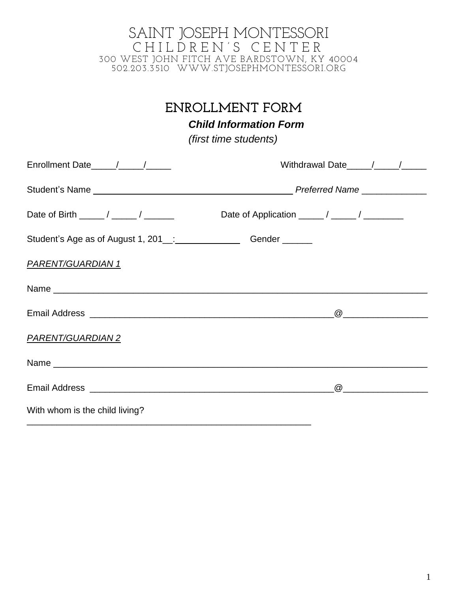# **ENROLLMENT FORM**

*Child Information Form*

*(first time students)*

|                                                                       | Withdrawal Date / / / |
|-----------------------------------------------------------------------|-----------------------|
|                                                                       |                       |
|                                                                       |                       |
| Student's Age as of August 1, 201_:____________________Gender _______ |                       |
| <u>PARENT/GUARDIAN 1</u>                                              |                       |
|                                                                       |                       |
|                                                                       |                       |
| PARENT/GUARDIAN 2                                                     |                       |
|                                                                       |                       |
|                                                                       |                       |
| With whom is the child living?                                        |                       |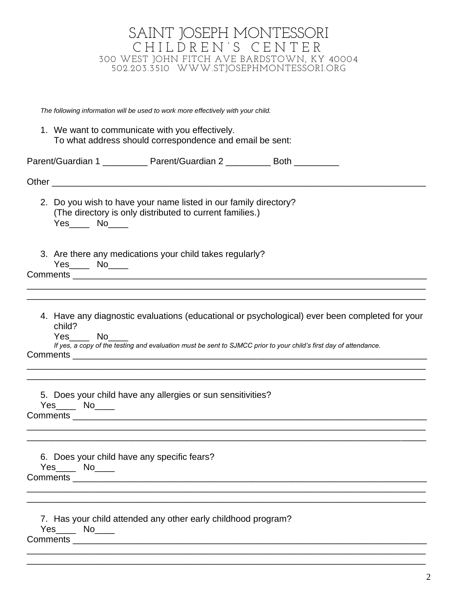| SAINT JOSEPH MONTESSORI                                                                                                             |
|-------------------------------------------------------------------------------------------------------------------------------------|
| CHILDREN'S CENTER                                                                                                                   |
| 300 WEST JOHN FITCH AVE BARDSTOWN, KY 40004<br>502.203.3510 WWW.STJOSEPHMONTESSORI.ORG                                              |
|                                                                                                                                     |
|                                                                                                                                     |
| The following information will be used to work more effectively with your child.                                                    |
| 1. We want to communicate with you effectively.<br>To what address should correspondence and email be sent:                         |
| Parent/Guardian 1 _____________ Parent/Guardian 2 ___________ Both ___________                                                      |
|                                                                                                                                     |
|                                                                                                                                     |
| 2. Do you wish to have your name listed in our family directory?                                                                    |
| (The directory is only distributed to current families.)<br>$Yes$ No $N$                                                            |
|                                                                                                                                     |
| 3. Are there any medications your child takes regularly?                                                                            |
| Yes_____ No____                                                                                                                     |
|                                                                                                                                     |
|                                                                                                                                     |
| 4. Have any diagnostic evaluations (educational or psychological) ever been completed for your<br>child?                            |
| $Yes$ No______<br>If yes, a copy of the testing and evaluation must be sent to SJMCC prior to your child's first day of attendance. |
| Comments                                                                                                                            |
|                                                                                                                                     |
|                                                                                                                                     |
| 5. Does your child have any allergies or sun sensitivities?<br>$Yes$ No______                                                       |
|                                                                                                                                     |
|                                                                                                                                     |
|                                                                                                                                     |
| 6. Does your child have any specific fears?<br>Yes_____ No____                                                                      |
|                                                                                                                                     |
|                                                                                                                                     |
|                                                                                                                                     |
| 7. Has your child attended any other early childhood program?                                                                       |
| Yes_____ No____                                                                                                                     |
|                                                                                                                                     |
|                                                                                                                                     |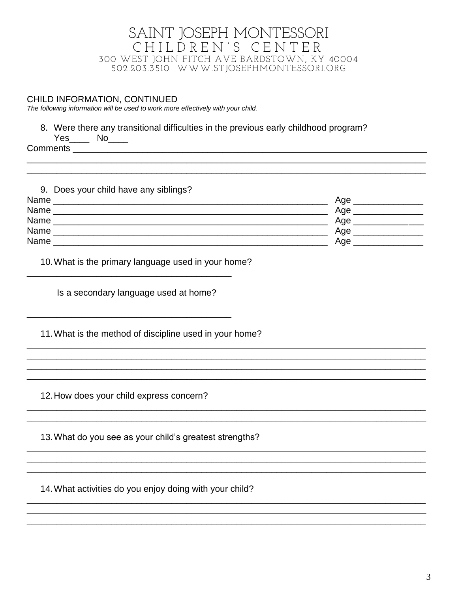#### CHILD INFORMATION, CONTINUED

The following information will be used to work more effectively with your child.

8. Were there any transitional difficulties in the previous early childhood program?

 $Yes$  No  $Near$ 

**Comments Comments** 

| 9. Does your child have any siblings? |     |
|---------------------------------------|-----|
| Name                                  | Age |
| Name                                  | Age |
| Name                                  | Age |
| Name                                  | Age |
| Name                                  | Age |

<u> 1980 - Jan Barat, martin da shekara tsara 1980 - An tsara 1980 - An tsara 1980 - An tsara 1980 - An tsara 19</u>

10. What is the primary language used in your home? <u> 1989 - Johann John Harry, mars eta bat eta bat eta bat eta bat ez arteko hamarkada eta bat eta bat eta bat e</u>

Is a secondary language used at home?

11. What is the method of discipline used in your home?

12. How does your child express concern?

13. What do you see as your child's greatest strengths?

14. What activities do you enjoy doing with your child?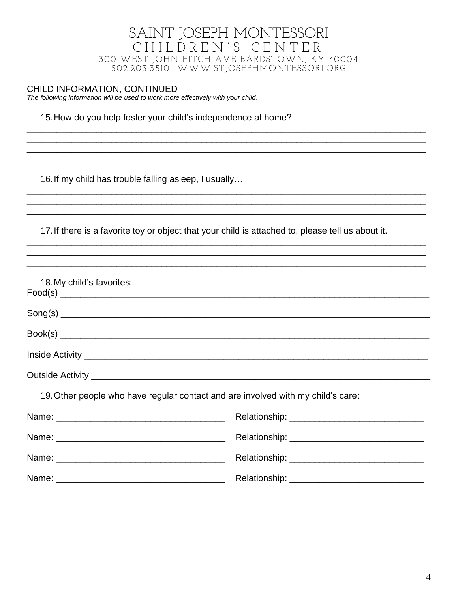#### CHILD INFORMATION, CONTINUED

The following information will be used to work more effectively with your child.

#### 15. How do you help foster your child's independence at home?

16. If my child has trouble falling asleep, I usually...

17. If there is a favorite toy or object that your child is attached to, please tell us about it.

<u> 1989 - Johann Stoff, deutscher Stoff, der Stoff, der Stoff, der Stoff, der Stoff, der Stoff, der Stoff, der S</u>

| 18. My child's favorites:                                                        |                                                  |  |  |
|----------------------------------------------------------------------------------|--------------------------------------------------|--|--|
|                                                                                  |                                                  |  |  |
|                                                                                  |                                                  |  |  |
|                                                                                  |                                                  |  |  |
|                                                                                  |                                                  |  |  |
| 19. Other people who have regular contact and are involved with my child's care: |                                                  |  |  |
|                                                                                  |                                                  |  |  |
|                                                                                  | Relationship: __________________________________ |  |  |
|                                                                                  |                                                  |  |  |
|                                                                                  |                                                  |  |  |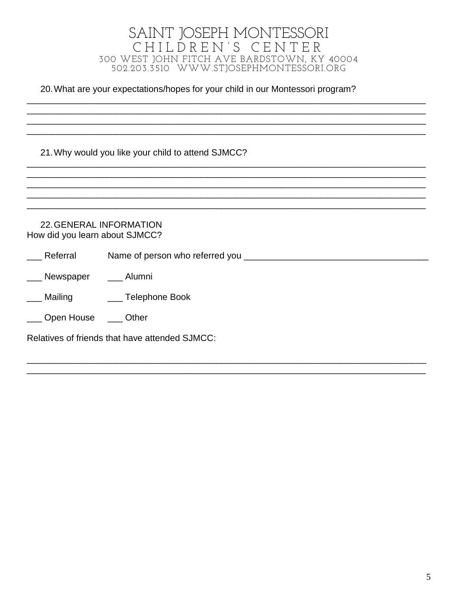20. What are your expectations/hopes for your child in our Montessori program?

21. Why would you like your child to attend SJMCC?

**22. GENERAL INFORMATION** How did you learn about SJMCC? Referral \_\_\_ Newspaper \_\_\_ Alumni Mailing \_\_\_\_\_\_\_ Telephone Book \_\_\_ Open House \_\_\_ Other Relatives of friends that have attended SJMCC: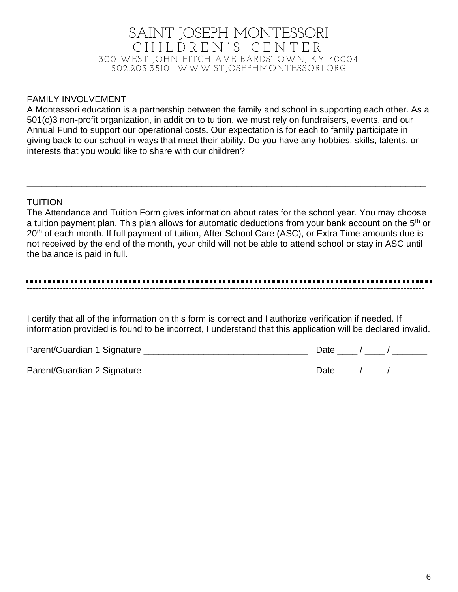#### FAMILY INVOLVEMENT

A Montessori education is a partnership between the family and school in supporting each other. As a 501(c)3 non-profit organization, in addition to tuition, we must rely on fundraisers, events, and our Annual Fund to support our operational costs. Our expectation is for each to family participate in giving back to our school in ways that meet their ability. Do you have any hobbies, skills, talents, or interests that you would like to share with our children?

\_\_\_\_\_\_\_\_\_\_\_\_\_\_\_\_\_\_\_\_\_\_\_\_\_\_\_\_\_\_\_\_\_\_\_\_\_\_\_\_\_\_\_\_\_\_\_\_\_\_\_\_\_\_\_\_\_\_\_\_\_\_\_\_\_\_\_\_\_\_\_\_\_\_\_\_\_\_\_\_ \_\_\_\_\_\_\_\_\_\_\_\_\_\_\_\_\_\_\_\_\_\_\_\_\_\_\_\_\_\_\_\_\_\_\_\_\_\_\_\_\_\_\_\_\_\_\_\_\_\_\_\_\_\_\_\_\_\_\_\_\_\_\_\_\_\_\_\_\_\_\_\_\_\_\_\_\_\_\_\_

#### TUITION

The Attendance and Tuition Form gives information about rates for the school year. You may choose a tuition payment plan. This plan allows for automatic deductions from your bank account on the 5<sup>th</sup> or 20<sup>th</sup> of each month. If full payment of tuition, After School Care (ASC), or Extra Time amounts due is not received by the end of the month, your child will not be able to attend school or stay in ASC until the balance is paid in full.

#### ------------------------------------------------------------------------------------------------------------------------------------- -------------------------------------------------------------------------------------------------------------------------------------

I certify that all of the information on this form is correct and I authorize verification if needed. If information provided is found to be incorrect, I understand that this application will be declared invalid.

| Parent/Guardian 1 Signature | Date |
|-----------------------------|------|
| Parent/Guardian 2 Signature | Date |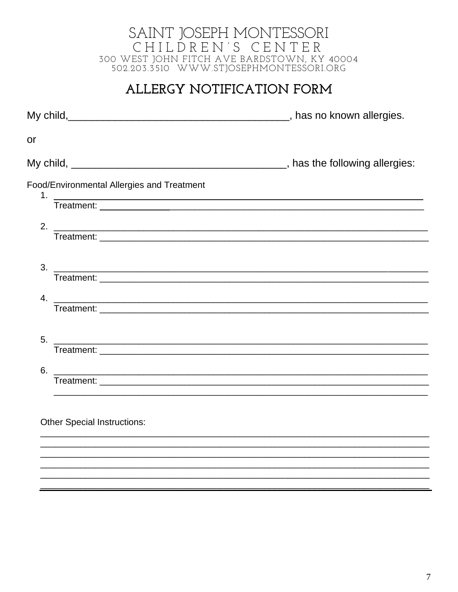# ALLERGY NOTIFICATION FORM

| or                                                                                                                          |  |
|-----------------------------------------------------------------------------------------------------------------------------|--|
|                                                                                                                             |  |
| Food/Environmental Allergies and Treatment                                                                                  |  |
| 1. Treatment:                                                                                                               |  |
|                                                                                                                             |  |
|                                                                                                                             |  |
| $3.$ $\overline{\phantom{a}}$                                                                                               |  |
|                                                                                                                             |  |
| 4. $\overline{\phantom{a}}$                                                                                                 |  |
| 5.<br><u> Alexandro de la contrada de la contrada de la contrada de la contrada de la contrada de la contrada de la co</u>  |  |
|                                                                                                                             |  |
| 6.<br><u> Alexandro de la contrada de la contrada de la contrada de la contrada de la contrada de la contrada de la con</u> |  |
|                                                                                                                             |  |
| <b>Other Special Instructions:</b>                                                                                          |  |
|                                                                                                                             |  |
|                                                                                                                             |  |
|                                                                                                                             |  |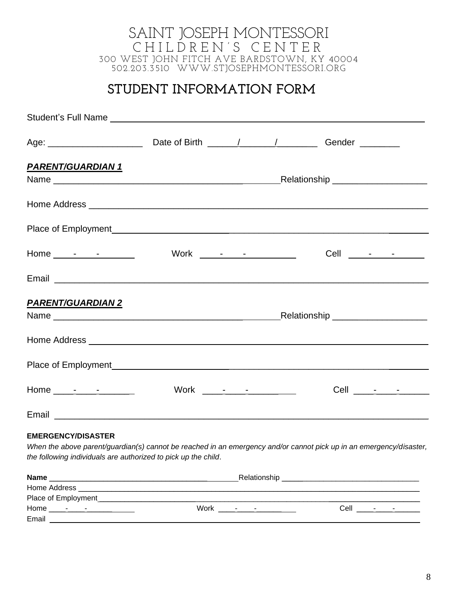# **STUDENT INFORMATION FORM**

| <b>PARENT/GUARDIAN 1</b>                                                                                                                                                                                                             |  |                                                                                                                                                                                                                                                                                                                                                                                                                             |
|--------------------------------------------------------------------------------------------------------------------------------------------------------------------------------------------------------------------------------------|--|-----------------------------------------------------------------------------------------------------------------------------------------------------------------------------------------------------------------------------------------------------------------------------------------------------------------------------------------------------------------------------------------------------------------------------|
|                                                                                                                                                                                                                                      |  |                                                                                                                                                                                                                                                                                                                                                                                                                             |
|                                                                                                                                                                                                                                      |  |                                                                                                                                                                                                                                                                                                                                                                                                                             |
|                                                                                                                                                                                                                                      |  | Cell $\frac{1}{\sqrt{1-\frac{1}{2}}}\frac{1}{\sqrt{1-\frac{1}{2}}}\frac{1}{\sqrt{1-\frac{1}{2}}}\frac{1}{\sqrt{1-\frac{1}{2}}}\frac{1}{\sqrt{1-\frac{1}{2}}}\frac{1}{\sqrt{1-\frac{1}{2}}}\frac{1}{\sqrt{1-\frac{1}{2}}}\frac{1}{\sqrt{1-\frac{1}{2}}}\frac{1}{\sqrt{1-\frac{1}{2}}}\frac{1}{\sqrt{1-\frac{1}{2}}}\frac{1}{\sqrt{1-\frac{1}{2}}}\frac{1}{\sqrt{1-\frac{1}{2}}}\frac{1}{\sqrt{1-\frac{1}{2}}}\frac{1}{\sqrt$ |
| Email <b>Executive Contract Contract Contract Contract Contract Contract Contract Contract Contract Contract Contract Contract Contract Contract Contract Contract Contract Contract Contract Contract Contract Contract Contrac</b> |  |                                                                                                                                                                                                                                                                                                                                                                                                                             |
| <b>PARENT/GUARDIAN 2</b>                                                                                                                                                                                                             |  |                                                                                                                                                                                                                                                                                                                                                                                                                             |
|                                                                                                                                                                                                                                      |  |                                                                                                                                                                                                                                                                                                                                                                                                                             |
|                                                                                                                                                                                                                                      |  |                                                                                                                                                                                                                                                                                                                                                                                                                             |
|                                                                                                                                                                                                                                      |  |                                                                                                                                                                                                                                                                                                                                                                                                                             |
|                                                                                                                                                                                                                                      |  |                                                                                                                                                                                                                                                                                                                                                                                                                             |

#### **EMERGENCY/DISASTER**

*When the above parent/guardian(s) cannot be reached in an emergency and/or cannot pick up in an emergency/disaster, the following individuals are authorized to pick up the child*.

| <b>Name</b>                                         | Relationship                   |
|-----------------------------------------------------|--------------------------------|
| Home Address                                        |                                |
| Place of Employment                                 |                                |
| Home<br>Work<br>and the contract of the contract of | Cell<br>$ -$<br><b>Service</b> |
| Email                                               |                                |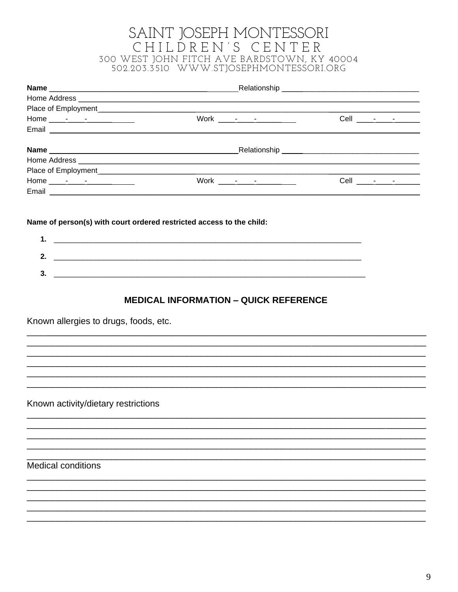| $Work \qquad - \qquad - \qquad - \qquad - \qquad - \qquad -$ | Cell ________________ |
|--------------------------------------------------------------|-----------------------|
|                                                              |                       |

Name of person(s) with court ordered restricted access to the child:

| . |  |
|---|--|
|   |  |

### **MEDICAL INFORMATION - QUICK REFERENCE**

Known allergies to drugs, foods, etc.

Known activity/dietary restrictions

Medical conditions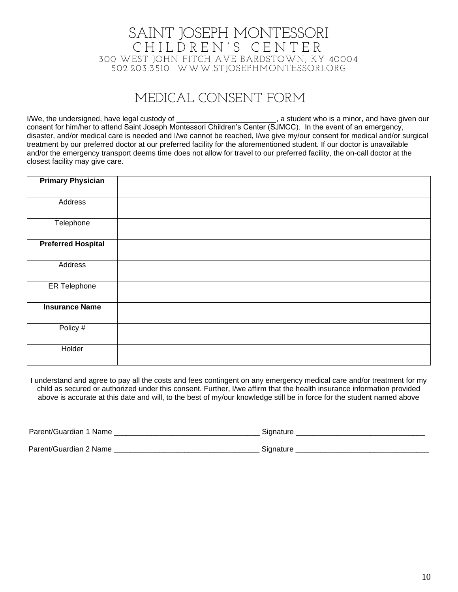# MEDICAL CONSENT FORM

I/We, the undersigned, have legal custody of \_\_\_\_\_\_\_\_\_\_\_\_\_\_\_\_\_\_\_\_\_\_\_\_, a student who is a minor, and have given our consent for him/her to attend Saint Joseph Montessori Children's Center (SJMCC). In the event of an emergency, disaster, and/or medical care is needed and I/we cannot be reached, I/we give my/our consent for medical and/or surgical treatment by our preferred doctor at our preferred facility for the aforementioned student. If our doctor is unavailable and/or the emergency transport deems time does not allow for travel to our preferred facility, the on-call doctor at the closest facility may give care.

| <b>Primary Physician</b>  |  |
|---------------------------|--|
| Address                   |  |
| Telephone                 |  |
| <b>Preferred Hospital</b> |  |
| Address                   |  |
| <b>ER Telephone</b>       |  |
| <b>Insurance Name</b>     |  |
| Policy #                  |  |
| Holder                    |  |

I understand and agree to pay all the costs and fees contingent on any emergency medical care and/or treatment for my child as secured or authorized under this consent. Further, I/we affirm that the health insurance information provided above is accurate at this date and will, to the best of my/our knowledge still be in force for the student named above

| Parent/Guardian 1 Name | Siɑnature |
|------------------------|-----------|
| Parent/Guardian 2 Name | Sianature |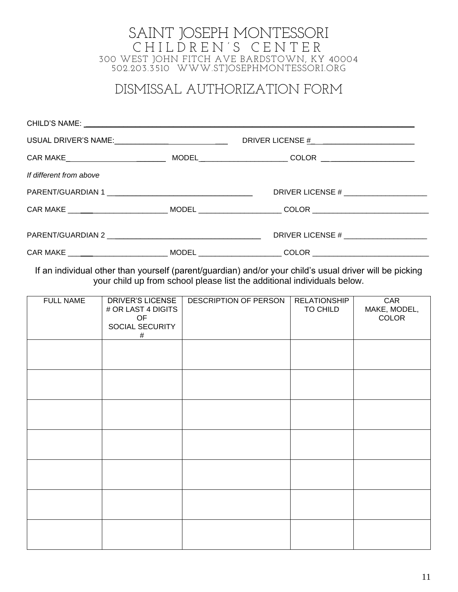# DISMISSAL AUTHORIZATION FORM

| USUAL DRIVER'S NAME:_______________________________ |  |                                                                                                                |  |  |
|-----------------------------------------------------|--|----------------------------------------------------------------------------------------------------------------|--|--|
|                                                     |  |                                                                                                                |  |  |
| If different from above                             |  |                                                                                                                |  |  |
|                                                     |  | DRIVER LICENSE # _______________________                                                                       |  |  |
|                                                     |  | CAR MAKE ___________________________________MODEL _______________________COLOR _______________________________ |  |  |
|                                                     |  | DRIVER LICENSE # _____________________                                                                         |  |  |
|                                                     |  | CAR MAKE _________________________________MODEL ______________________COLOR __________________________________ |  |  |

If an individual other than yourself (parent/guardian) and/or your child's usual driver will be picking your child up from school please list the additional individuals below.

| <b>FULL NAME</b> | <b>DRIVER'S LICENSE</b><br># OR LAST 4 DIGITS<br>OF<br>SOCIAL SECURITY<br>$\#$ | DESCRIPTION OF PERSON | <b>RELATIONSHIP</b><br>TO CHILD | CAR<br>MAKE, MODEL,<br>COLOR |
|------------------|--------------------------------------------------------------------------------|-----------------------|---------------------------------|------------------------------|
|                  |                                                                                |                       |                                 |                              |
|                  |                                                                                |                       |                                 |                              |
|                  |                                                                                |                       |                                 |                              |
|                  |                                                                                |                       |                                 |                              |
|                  |                                                                                |                       |                                 |                              |
|                  |                                                                                |                       |                                 |                              |
|                  |                                                                                |                       |                                 |                              |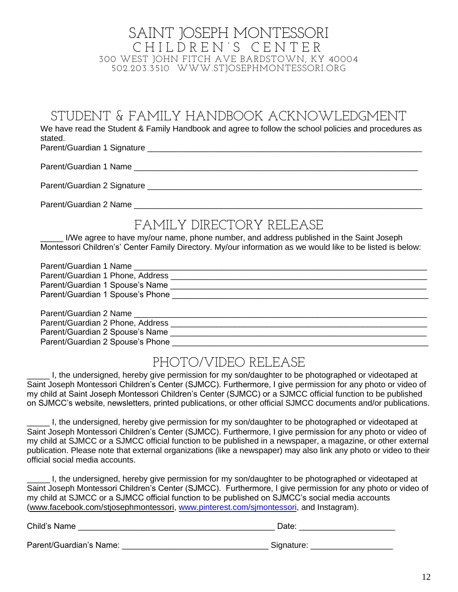STUDENT & FAMILY HANDBOOK ACKNOWLEDGMENT

We have read the Student & Family Handbook and agree to follow the school policies and procedures as stated.

Parent/Guardian 1 Signature \_\_\_\_\_\_\_\_\_\_\_\_\_\_\_\_\_\_\_\_\_\_\_\_\_\_\_\_\_\_\_\_\_\_\_\_\_\_\_\_\_\_\_\_\_\_\_\_\_\_\_\_\_\_\_\_\_\_\_\_

Parent/Guardian 1 Name \_\_\_\_\_\_\_\_\_\_\_\_\_\_\_\_\_\_\_\_\_\_\_\_\_\_\_\_\_\_\_\_\_\_\_\_\_\_\_\_\_\_\_\_\_\_\_\_\_\_\_\_\_\_\_\_\_\_\_\_\_\_

Parent/Guardian 2 Signature **Example 2 Signature** and the state of the state of the state of the state of the state of the state of the state of the state of the state of the state of the state of the state of the state of

Parent/Guardian 2 Name \_\_\_\_\_\_\_\_\_\_\_\_\_\_\_\_\_\_\_\_\_\_\_\_\_\_\_\_\_\_\_\_\_\_\_\_\_\_\_\_\_\_\_\_\_\_\_\_\_\_\_\_\_\_\_\_\_\_\_\_\_\_\_

# FAMILY DIRECTORY RELEASE

I/We agree to have my/our name, phone number, and address published in the Saint Joseph Montessori Children's' Center Family Directory. My/our information as we would like to be listed is below:

| Parent/Guardian 1 Name           |  |
|----------------------------------|--|
| Parent/Guardian 1 Phone, Address |  |
| Parent/Guardian 1 Spouse's Name  |  |
| Parent/Guardian 1 Spouse's Phone |  |
|                                  |  |
|                                  |  |
| Parent/Guardian 2 Phone, Address |  |
| Parent/Guardian 2 Spouse's Name  |  |
| Parent/Guardian 2 Spouse's Phone |  |
|                                  |  |

# PHOTO/VIDEO RELEASE

I, the undersigned, hereby give permission for my son/daughter to be photographed or videotaped at Saint Joseph Montessori Children's Center (SJMCC). Furthermore, I give permission for any photo or video of my child at Saint Joseph Montessori Children's Center (SJMCC) or a SJMCC official function to be published on SJMCC's website, newsletters, printed publications, or other official SJMCC documents and/or publications.

\_\_\_\_\_ I, the undersigned, hereby give permission for my son/daughter to be photographed or videotaped at Saint Joseph Montessori Children's Center (SJMCC). Furthermore, I give permission for any photo or video of my child at SJMCC or a SJMCC official function to be published in a newspaper, a magazine, or other external publication. Please note that external organizations (like a newspaper) may also link any photo or video to their official social media accounts.

I, the undersigned, hereby give permission for my son/daughter to be photographed or videotaped at Saint Joseph Montessori Children's Center (SJMCC). Furthermore, I give permission for any photo or video of my child at SJMCC or a SJMCC official function to be published on SJMCC's social media accounts [\(www.facebook.com/stjosephmontessori,](http://www.facebook.com/stjosephmontessori) [www.pinterest.com/sjmontessori,](http://www.pinterest.com/sjmontessori) and Instagram).

| Child's Name            | Date:      |  |  |
|-------------------------|------------|--|--|
| Parent/Guardian's Name: | Signature: |  |  |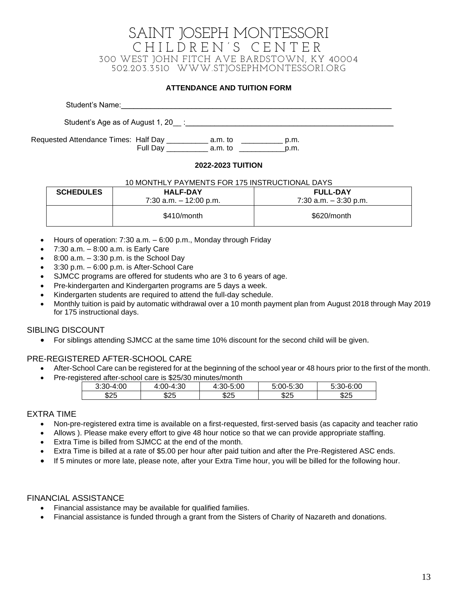#### **ATTENDANCE AND TUITION FORM**

| Student's Name:                                                                |                         |              |  |
|--------------------------------------------------------------------------------|-------------------------|--------------|--|
|                                                                                |                         |              |  |
| Requested Attendance Times: Half Day ______________ a.m. to<br><b>Full Dav</b> | a.m. to                 | p.m.<br>p.m. |  |
|                                                                                | <b>2022 2022 THEIAN</b> |              |  |

#### **2022-2023 TUITION**

#### 10 MONTHLY PAYMENTS FOR 175 INSTRUCTIONAL DAYS

| <b>SCHEDULES</b> | <b>HALF-DAY</b><br>$7:30$ a.m. $-12:00$ p.m. | <b>FULL-DAY</b><br>$7:30$ a.m. $-3:30$ p.m. |
|------------------|----------------------------------------------|---------------------------------------------|
|                  | \$410/month                                  | \$620/month                                 |

- Hours of operation: 7:30 a.m. 6:00 p.m., Monday through Friday
- 7:30 a.m. 8:00 a.m. is Early Care
- 8:00 a.m.  $-$  3:30 p.m. is the School Day
- 3:30 p.m. 6:00 p.m. is After-School Care
- SJMCC programs are offered for students who are 3 to 6 years of age.
- Pre-kindergarten and Kindergarten programs are 5 days a week.
- Kindergarten students are required to attend the full-day schedule.
- Monthly tuition is paid by automatic withdrawal over a 10 month payment plan from August 2018 through May 2019 for 175 instructional days.

#### SIBLING DISCOUNT

• For siblings attending SJMCC at the same time 10% discount for the second child will be given.

#### PRE-REGISTERED AFTER-SCHOOL CARE

- After-School Care can be registered for at the beginning of the school year or 48 hours prior to the first of the month.
- Pre-registered after-school care is \$25/30 minutes/month

| 3:30-4:00 | 4:00-4:30 | $4:30 - 5$<br>o:UU | 5:00-5:30 | -6:00<br><b>B</b> 30-65. |
|-----------|-----------|--------------------|-----------|--------------------------|
| \$25      | \$25      | \$25               | \$25      | \$25                     |

#### EXTRA TIME

- Non-pre-registered extra time is available on a first-requested, first-served basis (as capacity and teacher ratio
- Allows ). Please make every effort to give 48 hour notice so that we can provide appropriate staffing.
- Extra Time is billed from SJMCC at the end of the month.
- Extra Time is billed at a rate of \$5.00 per hour after paid tuition and after the Pre-Registered ASC ends.
- If 5 minutes or more late, please note, after your Extra Time hour, you will be billed for the following hour.

#### FINANCIAL ASSISTANCE

- Financial assistance may be available for qualified families.
- Financial assistance is funded through a grant from the Sisters of Charity of Nazareth and donations.